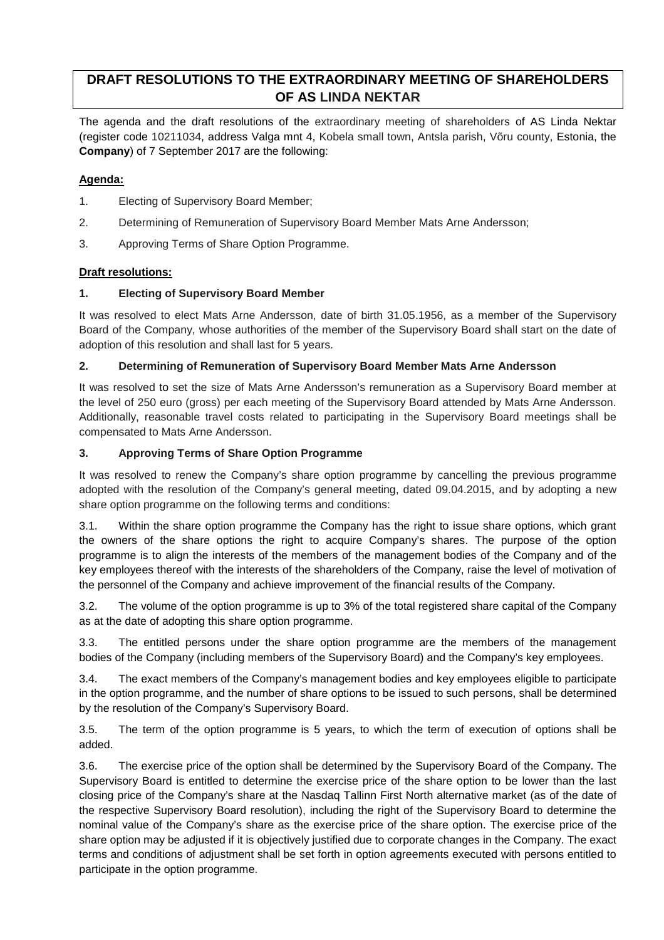# **DRAFT RESOLUTIONS TO THE EXTRAORDINARY MEETING OF SHAREHOLDERS OF AS LINDA NEKTAR**

The agenda and the draft resolutions of the extraordinary meeting of shareholders of AS Linda Nektar (register code 10211034, address Valga mnt 4, Kobela small town, Antsla parish, Võru county, Estonia, the **Company**) of 7 September 2017 are the following:

## **Agenda:**

- 1. Electing of Supervisory Board Member;
- 2. Determining of Remuneration of Supervisory Board Member Mats Arne Andersson;
- 3. Approving Terms of Share Option Programme.

### **Draft resolutions:**

### **1. Electing of Supervisory Board Member**

It was resolved to elect Mats Arne Andersson, date of birth 31.05.1956, as a member of the Supervisory Board of the Company, whose authorities of the member of the Supervisory Board shall start on the date of adoption of this resolution and shall last for 5 years.

### **2. Determining of Remuneration of Supervisory Board Member Mats Arne Andersson**

It was resolved to set the size of Mats Arne Andersson's remuneration as a Supervisory Board member at the level of 250 euro (gross) per each meeting of the Supervisory Board attended by Mats Arne Andersson. Additionally, reasonable travel costs related to participating in the Supervisory Board meetings shall be compensated to Mats Arne Andersson.

### **3. Approving Terms of Share Option Programme**

It was resolved to renew the Company's share option programme by cancelling the previous programme adopted with the resolution of the Company's general meeting, dated 09.04.2015, and by adopting a new share option programme on the following terms and conditions:

3.1. Within the share option programme the Company has the right to issue share options, which grant the owners of the share options the right to acquire Company's shares. The purpose of the option programme is to align the interests of the members of the management bodies of the Company and of the key employees thereof with the interests of the shareholders of the Company, raise the level of motivation of the personnel of the Company and achieve improvement of the financial results of the Company.

3.2. The volume of the option programme is up to 3% of the total registered share capital of the Company as at the date of adopting this share option programme.

3.3. The entitled persons under the share option programme are the members of the management bodies of the Company (including members of the Supervisory Board) and the Company's key employees.

3.4. The exact members of the Company's management bodies and key employees eligible to participate in the option programme, and the number of share options to be issued to such persons, shall be determined by the resolution of the Company's Supervisory Board.

3.5. The term of the option programme is 5 years, to which the term of execution of options shall be added.

3.6. The exercise price of the option shall be determined by the Supervisory Board of the Company. The Supervisory Board is entitled to determine the exercise price of the share option to be lower than the last closing price of the Company's share at the Nasdaq Tallinn First North alternative market (as of the date of the respective Supervisory Board resolution), including the right of the Supervisory Board to determine the nominal value of the Company's share as the exercise price of the share option. The exercise price of the share option may be adjusted if it is objectively justified due to corporate changes in the Company. The exact terms and conditions of adjustment shall be set forth in option agreements executed with persons entitled to participate in the option programme.